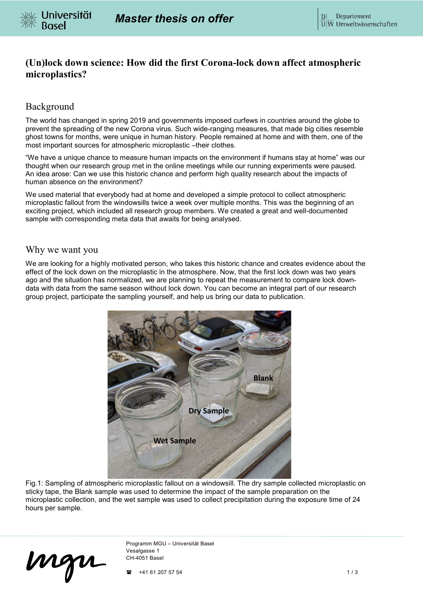

# **(Un)lock down science: How did the first Corona-lock down affect atmospheric microplastics?**

## Background

The world has changed in spring 2019 and governments imposed curfews in countries around the globe to prevent the spreading of the new Corona virus. Such wide-ranging measures, that made big cities resemble ghost towns for months, were unique in human history. People remained at home and with them, one of the most important sources for atmospheric microplastic –their clothes.

"We have a unique chance to measure human impacts on the environment if humans stay at home" was our thought when our research group met in the online meetings while our running experiments were paused. An idea arose: Can we use this historic chance and perform high quality research about the impacts of human absence on the environment?

We used material that everybody had at home and developed a simple protocol to collect atmospheric microplastic fallout from the windowsills twice a week over multiple months. This was the beginning of an exciting project, which included all research group members. We created a great and well-documented sample with corresponding meta data that awaits for being analysed.

#### Why we want you

We are looking for a highly motivated person, who takes this historic chance and creates evidence about the effect of the lock down on the microplastic in the atmosphere. Now, that the first lock down was two years ago and the situation has normalized, we are planning to repeat the measurement to compare lock downdata with data from the same season without lock down. You can become an integral part of our research group project, participate the sampling yourself, and help us bring our data to publication.



Fig.1: Sampling of atmospheric microplastic fallout on a windowsill. The dry sample collected microplastic on sticky tape, the Blank sample was used to determine the impact of the sample preparation on the microplastic collection, and the wet sample was used to collect precipitation during the exposure time of 24 hours per sample.

mgu

Programm MGU – Universität Basel Vesalgasse 1 CH-4051 Basel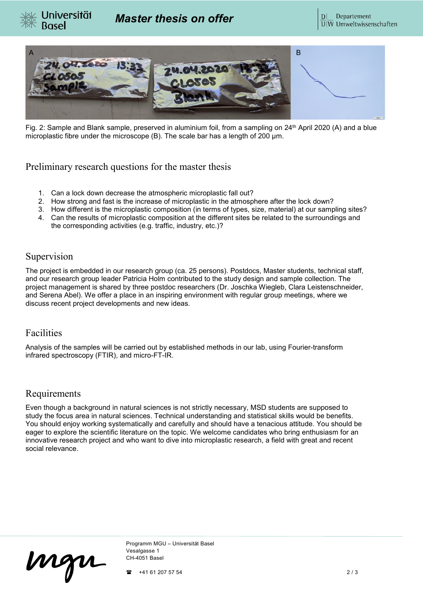



Fig. 2: Sample and Blank sample, preserved in aluminium foil, from a sampling on 24<sup>th</sup> April 2020 (A) and a blue microplastic fibre under the microscope (B). The scale bar has a length of 200 µm.

#### Preliminary research questions for the master thesis

- 1. Can a lock down decrease the atmospheric microplastic fall out?
- 2. How strong and fast is the increase of microplastic in the atmosphere after the lock down?
- 3. How different is the microplastic composition (in terms of types, size, material) at our sampling sites?
- 4. Can the results of microplastic composition at the different sites be related to the surroundings and the corresponding activities (e.g. traffic, industry, etc.)?

## Supervision

The project is embedded in our research group (ca. 25 persons). Postdocs, Master students, technical staff, and our research group leader Patricia Holm contributed to the study design and sample collection. The project management is shared by three postdoc researchers (Dr. Joschka Wiegleb, Clara Leistenschneider, and Serena Abel). We offer a place in an inspiring environment with regular group meetings, where we discuss recent project developments and new ideas.

## Facilities

Analysis of the samples will be carried out by established methods in our lab, using Fourier-transform infrared spectroscopy (FTIR), and micro-FT-IR.

## Requirements

Even though a background in natural sciences is not strictly necessary, MSD students are supposed to study the focus area in natural sciences. Technical understanding and statistical skills would be benefits. You should enjoy working systematically and carefully and should have a tenacious attitude. You should be eager to explore the scientific literature on the topic. We welcome candidates who bring enthusiasm for an innovative research project and who want to dive into microplastic research, a field with great and recent social relevance.

mgu

Programm MGU – Universität Basel Vesalgasse 1 CH-4051 Basel